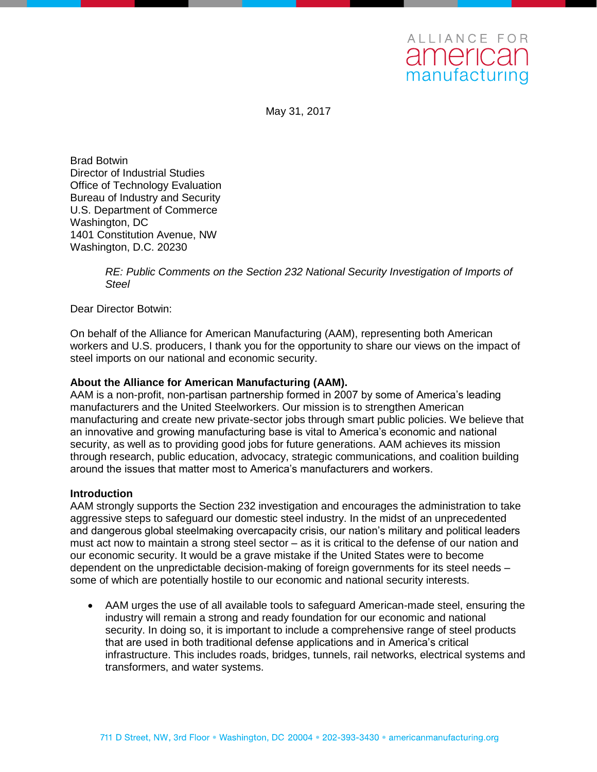May 31, 2017

Brad Botwin Director of Industrial Studies Office of Technology Evaluation Bureau of Industry and Security U.S. Department of Commerce Washington, DC 1401 Constitution Avenue, NW Washington, D.C. 20230

> *RE: Public Comments on the Section 232 National Security Investigation of Imports of Steel*

Dear Director Botwin:

On behalf of the Alliance for American Manufacturing (AAM), representing both American workers and U.S. producers, I thank you for the opportunity to share our views on the impact of steel imports on our national and economic security.

#### **About the Alliance for American Manufacturing (AAM).**

AAM is a non-profit, non-partisan partnership formed in 2007 by some of America's leading manufacturers and the United Steelworkers. Our mission is to strengthen American manufacturing and create new private-sector jobs through smart public policies. We believe that an innovative and growing manufacturing base is vital to America's economic and national security, as well as to providing good jobs for future generations. AAM achieves its mission through research, public education, advocacy, strategic communications, and coalition building around the issues that matter most to America's manufacturers and workers.

### **Introduction**

AAM strongly supports the Section 232 investigation and encourages the administration to take aggressive steps to safeguard our domestic steel industry. In the midst of an unprecedented and dangerous global steelmaking overcapacity crisis, our nation's military and political leaders must act now to maintain a strong steel sector – as it is critical to the defense of our nation and our economic security. It would be a grave mistake if the United States were to become dependent on the unpredictable decision-making of foreign governments for its steel needs – some of which are potentially hostile to our economic and national security interests.

 AAM urges the use of all available tools to safeguard American-made steel, ensuring the industry will remain a strong and ready foundation for our economic and national security. In doing so, it is important to include a comprehensive range of steel products that are used in both traditional defense applications and in America's critical infrastructure. This includes roads, bridges, tunnels, rail networks, electrical systems and transformers, and water systems.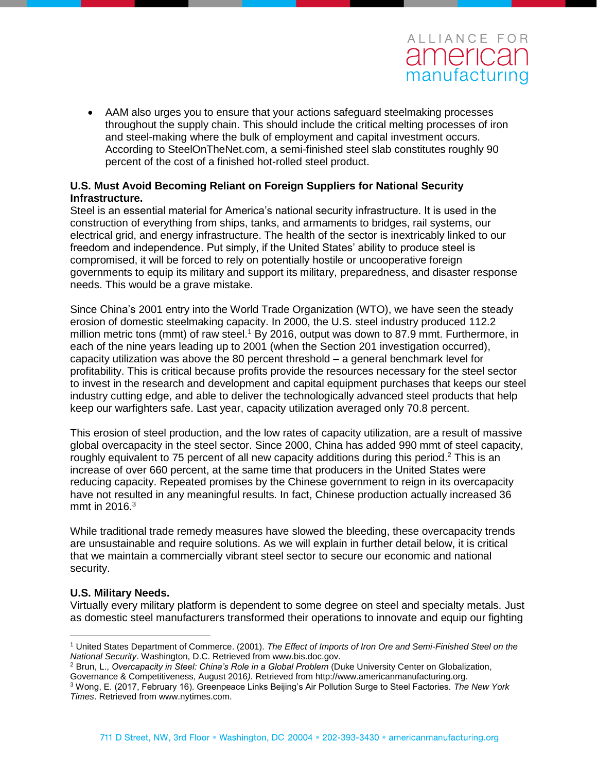AAM also urges you to ensure that your actions safeguard steelmaking processes throughout the supply chain. This should include the critical melting processes of iron and steel-making where the bulk of employment and capital investment occurs. According to SteelOnTheNet.com, a semi-finished steel slab constitutes roughly 90 percent of the cost of a finished hot-rolled steel product.

### **U.S. Must Avoid Becoming Reliant on Foreign Suppliers for National Security Infrastructure.**

Steel is an essential material for America's national security infrastructure. It is used in the construction of everything from ships, tanks, and armaments to bridges, rail systems, our electrical grid, and energy infrastructure. The health of the sector is inextricably linked to our freedom and independence. Put simply, if the United States' ability to produce steel is compromised, it will be forced to rely on potentially hostile or uncooperative foreign governments to equip its military and support its military, preparedness, and disaster response needs. This would be a grave mistake.

Since China's 2001 entry into the World Trade Organization (WTO), we have seen the steady erosion of domestic steelmaking capacity. In 2000, the U.S. steel industry produced 112.2 million metric tons (mmt) of raw steel.<sup>1</sup> By 2016, output was down to 87.9 mmt. Furthermore, in each of the nine years leading up to 2001 (when the Section 201 investigation occurred), capacity utilization was above the 80 percent threshold – a general benchmark level for profitability. This is critical because profits provide the resources necessary for the steel sector to invest in the research and development and capital equipment purchases that keeps our steel industry cutting edge, and able to deliver the technologically advanced steel products that help keep our warfighters safe. Last year, capacity utilization averaged only 70.8 percent.

This erosion of steel production, and the low rates of capacity utilization, are a result of massive global overcapacity in the steel sector. Since 2000, China has added 990 mmt of steel capacity, roughly equivalent to 75 percent of all new capacity additions during this period.<sup>2</sup> This is an increase of over 660 percent, at the same time that producers in the United States were reducing capacity. Repeated promises by the Chinese government to reign in its overcapacity have not resulted in any meaningful results. In fact, Chinese production actually increased 36 mmt in 2016.<sup>3</sup>

While traditional trade remedy measures have slowed the bleeding, these overcapacity trends are unsustainable and require solutions. As we will explain in further detail below, it is critical that we maintain a commercially vibrant steel sector to secure our economic and national security.

### **U.S. Military Needs.**

 $\overline{a}$ 

Virtually every military platform is dependent to some degree on steel and specialty metals. Just as domestic steel manufacturers transformed their operations to innovate and equip our fighting

<sup>2</sup> Brun, L., *Overcapacity in Steel: China's Role in a Global Problem (Duke University Center on Globalization,* Governance & Competitiveness, August 2016*).* Retrieved from http://www.americanmanufacturing.org.

<sup>1</sup> United States Department of Commerce. (2001). *The Effect of Imports of Iron Ore and Semi-Finished Steel on the National Security*. Washington, D.C. Retrieved from www.bis.doc.gov.

<sup>3</sup> Wong, E. (2017, February 16). Greenpeace Links Beijing's Air Pollution Surge to Steel Factories. *The New York Times*. Retrieved from www.nytimes.com.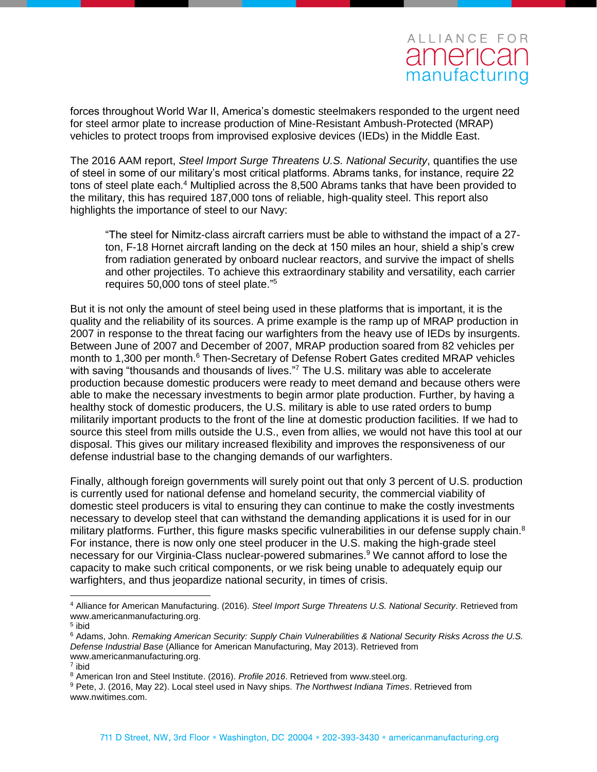forces throughout World War II, America's domestic steelmakers responded to the urgent need for steel armor plate to increase production of Mine-Resistant Ambush-Protected (MRAP) vehicles to protect troops from improvised explosive devices (IEDs) in the Middle East.

The 2016 AAM report, *Steel Import Surge Threatens U.S. National Security*, quantifies the use of steel in some of our military's most critical platforms. Abrams tanks, for instance, require 22 tons of steel plate each.<sup>4</sup> Multiplied across the 8,500 Abrams tanks that have been provided to the military, this has required 187,000 tons of reliable, high-quality steel. This report also highlights the importance of steel to our Navy:

"The steel for Nimitz-class aircraft carriers must be able to withstand the impact of a 27 ton, F-18 Hornet aircraft landing on the deck at 150 miles an hour, shield a ship's crew from radiation generated by onboard nuclear reactors, and survive the impact of shells and other projectiles. To achieve this extraordinary stability and versatility, each carrier requires 50,000 tons of steel plate." 5

But it is not only the amount of steel being used in these platforms that is important, it is the quality and the reliability of its sources. A prime example is the ramp up of MRAP production in 2007 in response to the threat facing our warfighters from the heavy use of IEDs by insurgents. Between June of 2007 and December of 2007, MRAP production soared from 82 vehicles per month to 1,300 per month.<sup>6</sup> Then-Secretary of Defense Robert Gates credited MRAP vehicles with saving "thousands and thousands of lives."<sup>7</sup> The U.S. military was able to accelerate production because domestic producers were ready to meet demand and because others were able to make the necessary investments to begin armor plate production. Further, by having a healthy stock of domestic producers, the U.S. military is able to use rated orders to bump militarily important products to the front of the line at domestic production facilities. If we had to source this steel from mills outside the U.S., even from allies, we would not have this tool at our disposal. This gives our military increased flexibility and improves the responsiveness of our defense industrial base to the changing demands of our warfighters.

Finally, although foreign governments will surely point out that only 3 percent of U.S. production is currently used for national defense and homeland security, the commercial viability of domestic steel producers is vital to ensuring they can continue to make the costly investments necessary to develop steel that can withstand the demanding applications it is used for in our military platforms. Further, this figure masks specific vulnerabilities in our defense supply chain.<sup>8</sup> For instance, there is now only one steel producer in the U.S. making the high-grade steel necessary for our Virginia-Class nuclear-powered submarines.<sup>9</sup> We cannot afford to lose the capacity to make such critical components, or we risk being unable to adequately equip our warfighters, and thus jeopardize national security, in times of crisis.

 $\overline{a}$ 

<sup>4</sup> Alliance for American Manufacturing. (2016). *Steel Import Surge Threatens U.S. National Security*. Retrieved from www.americanmanufacturing.org.

<sup>&</sup>lt;sup>5</sup> ibid

<sup>6</sup> Adams, John. *Remaking American Security: Supply Chain Vulnerabilities & National Security Risks Across the U.S. Defense Industrial Base* (Alliance for American Manufacturing, May 2013). Retrieved from www.americanmanufacturing.org.

<sup>7</sup> ibid

<sup>8</sup> American Iron and Steel Institute. (2016). *Profile 2016*. Retrieved from www.steel.org.

<sup>9</sup> Pete, J. (2016, May 22). Local steel used in Navy ships. *The Northwest Indiana Times*. Retrieved from www.nwitimes.com.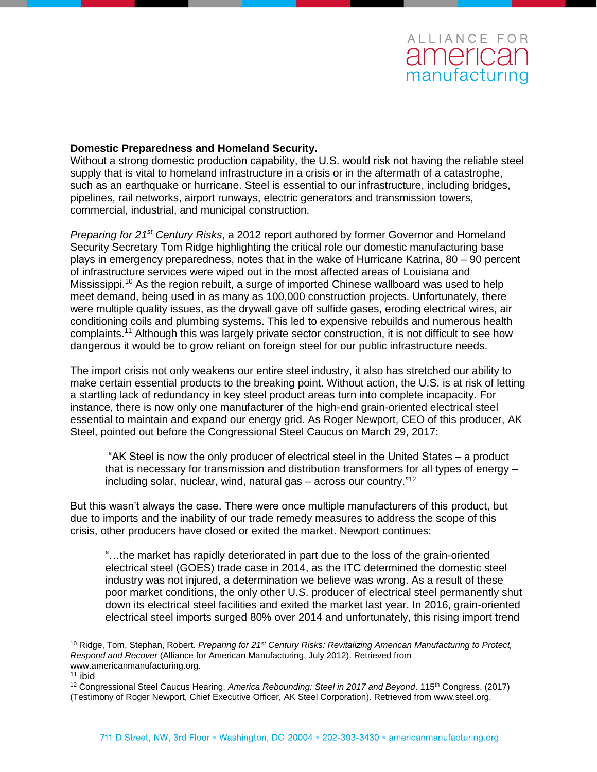### **Domestic Preparedness and Homeland Security.**

Without a strong domestic production capability, the U.S. would risk not having the reliable steel supply that is vital to homeland infrastructure in a crisis or in the aftermath of a catastrophe, such as an earthquake or hurricane. Steel is essential to our infrastructure, including bridges, pipelines, rail networks, airport runways, electric generators and transmission towers, commercial, industrial, and municipal construction.

*Preparing for 21st Century Risks*, a 2012 report authored by former Governor and Homeland Security Secretary Tom Ridge highlighting the critical role our domestic manufacturing base plays in emergency preparedness, notes that in the wake of Hurricane Katrina, 80 – 90 percent of infrastructure services were wiped out in the most affected areas of Louisiana and Mississippi.<sup>10</sup> As the region rebuilt, a surge of imported Chinese wallboard was used to help meet demand, being used in as many as 100,000 construction projects. Unfortunately, there were multiple quality issues, as the drywall gave off sulfide gases, eroding electrical wires, air conditioning coils and plumbing systems. This led to expensive rebuilds and numerous health complaints.<sup>11</sup> Although this was largely private sector construction, it is not difficult to see how dangerous it would be to grow reliant on foreign steel for our public infrastructure needs.

The import crisis not only weakens our entire steel industry, it also has stretched our ability to make certain essential products to the breaking point. Without action, the U.S. is at risk of letting a startling lack of redundancy in key steel product areas turn into complete incapacity. For instance, there is now only one manufacturer of the high-end grain-oriented electrical steel essential to maintain and expand our energy grid. As Roger Newport, CEO of this producer, AK Steel, pointed out before the Congressional Steel Caucus on March 29, 2017:

"AK Steel is now the only producer of electrical steel in the United States – a product that is necessary for transmission and distribution transformers for all types of energy – including solar, nuclear, wind, natural gas  $-$  across our country." $12$ 

But this wasn't always the case. There were once multiple manufacturers of this product, but due to imports and the inability of our trade remedy measures to address the scope of this crisis, other producers have closed or exited the market. Newport continues:

"…the market has rapidly deteriorated in part due to the loss of the grain-oriented electrical steel (GOES) trade case in 2014, as the ITC determined the domestic steel industry was not injured, a determination we believe was wrong. As a result of these poor market conditions, the only other U.S. producer of electrical steel permanently shut down its electrical steel facilities and exited the market last year. In 2016, grain-oriented electrical steel imports surged 80% over 2014 and unfortunately, this rising import trend

 $\overline{a}$ 

<sup>10</sup> Ridge, Tom, Stephan, Robert. *Preparing for 21st Century Risks: Revitalizing American Manufacturing to Protect, Respond and Recover* (Alliance for American Manufacturing, July 2012). Retrieved from www.americanmanufacturing.org.

 $11$  ibid

<sup>&</sup>lt;sup>12</sup> Congressional Steel Caucus Hearing. America Rebounding: Steel in 2017 and Beyond. 115<sup>th</sup> Congress. (2017) (Testimony of Roger Newport, Chief Executive Officer, AK Steel Corporation). Retrieved from www.steel.org.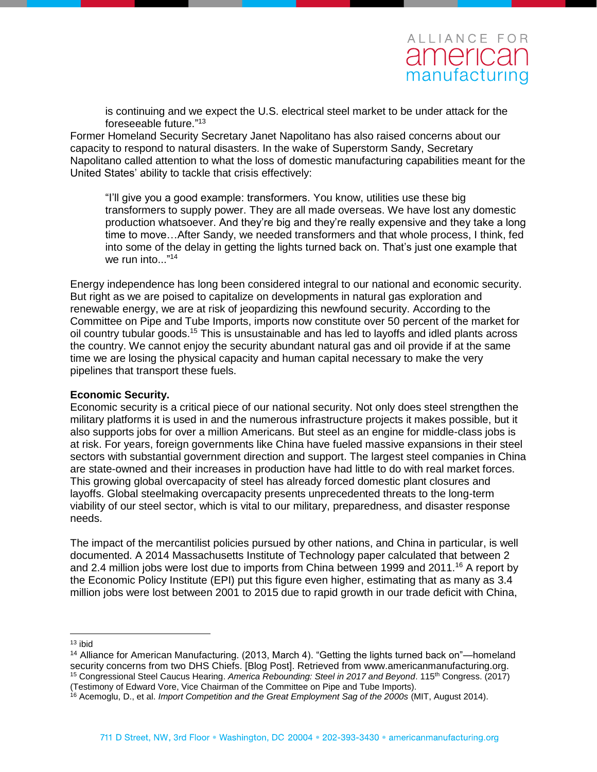is continuing and we expect the U.S. electrical steel market to be under attack for the foreseeable future." 13

Former Homeland Security Secretary Janet Napolitano has also raised concerns about our capacity to respond to natural disasters. In the wake of Superstorm Sandy, Secretary Napolitano called attention to what the loss of domestic manufacturing capabilities meant for the United States' ability to tackle that crisis effectively:

"I'll give you a good example: transformers. You know, utilities use these big transformers to supply power. They are all made overseas. We have lost any domestic production whatsoever. And they're big and they're really expensive and they take a long time to move…After Sandy, we needed transformers and that whole process, I think, fed into some of the delay in getting the lights turned back on. That's just one example that we run into..."<sup>14</sup>

Energy independence has long been considered integral to our national and economic security. But right as we are poised to capitalize on developments in natural gas exploration and renewable energy, we are at risk of jeopardizing this newfound security. According to the Committee on Pipe and Tube Imports, imports now constitute over 50 percent of the market for oil country tubular goods.<sup>15</sup> This is unsustainable and has led to layoffs and idled plants across the country. We cannot enjoy the security abundant natural gas and oil provide if at the same time we are losing the physical capacity and human capital necessary to make the very pipelines that transport these fuels.

### **Economic Security.**

Economic security is a critical piece of our national security. Not only does steel strengthen the military platforms it is used in and the numerous infrastructure projects it makes possible, but it also supports jobs for over a million Americans. But steel as an engine for middle-class jobs is at risk. For years, foreign governments like China have fueled massive expansions in their steel sectors with substantial government direction and support. The largest steel companies in China are state-owned and their increases in production have had little to do with real market forces. This growing global overcapacity of steel has already forced domestic plant closures and layoffs. Global steelmaking overcapacity presents unprecedented threats to the long-term viability of our steel sector, which is vital to our military, preparedness, and disaster response needs.

The impact of the mercantilist policies pursued by other nations, and China in particular, is well documented. A 2014 Massachusetts Institute of Technology paper calculated that between 2 and 2.4 million jobs were lost due to imports from China between 1999 and 2011.<sup>16</sup> A report by the Economic Policy Institute (EPI) put this figure even higher, estimating that as many as 3.4 million jobs were lost between 2001 to 2015 due to rapid growth in our trade deficit with China,

 $\overline{a}$ <sup>13</sup> ibid

<sup>14</sup> Alliance for American Manufacturing. (2013, March 4). "Getting the lights turned back on"—homeland security concerns from two DHS Chiefs. [Blog Post]. Retrieved from www.americanmanufacturing.org. <sup>15</sup> Congressional Steel Caucus Hearing. *America Rebounding: Steel in 2017 and Beyond*. 115th Congress. (2017) (Testimony of Edward Vore, Vice Chairman of the Committee on Pipe and Tube Imports).

<sup>16</sup> Acemoglu, D., et al. *Import Competition and the Great Employment Sag of the 2000s* (MIT, August 2014).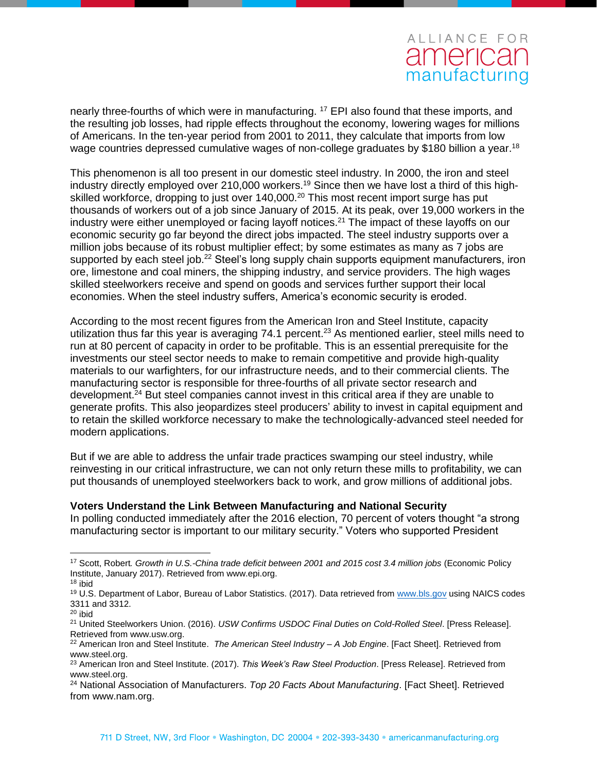nearly three-fourths of which were in manufacturing. <sup>17</sup> EPI also found that these imports, and the resulting job losses, had ripple effects throughout the economy, lowering wages for millions of Americans. In the ten-year period from 2001 to 2011, they calculate that imports from low wage countries depressed cumulative wages of non-college graduates by \$180 billion a year.<sup>18</sup>

This phenomenon is all too present in our domestic steel industry. In 2000, the iron and steel industry directly employed over 210,000 workers.<sup>19</sup> Since then we have lost a third of this highskilled workforce, dropping to just over 140,000.<sup>20</sup> This most recent import surge has put thousands of workers out of a job since January of 2015. At its peak, over 19,000 workers in the industry were either unemployed or facing layoff notices.<sup>21</sup> The impact of these layoffs on our economic security go far beyond the direct jobs impacted. The steel industry supports over a million jobs because of its robust multiplier effect; by some estimates as many as 7 jobs are supported by each steel job.<sup>22</sup> Steel's long supply chain supports equipment manufacturers, iron ore, limestone and coal miners, the shipping industry, and service providers. The high wages skilled steelworkers receive and spend on goods and services further support their local economies. When the steel industry suffers, America's economic security is eroded.

According to the most recent figures from the American Iron and Steel Institute, capacity utilization thus far this year is averaging 74.1 percent.<sup>23</sup> As mentioned earlier, steel mills need to run at 80 percent of capacity in order to be profitable. This is an essential prerequisite for the investments our steel sector needs to make to remain competitive and provide high-quality materials to our warfighters, for our infrastructure needs, and to their commercial clients. The manufacturing sector is responsible for three-fourths of all private sector research and development.<sup>24</sup> But steel companies cannot invest in this critical area if they are unable to generate profits. This also jeopardizes steel producers' ability to invest in capital equipment and to retain the skilled workforce necessary to make the technologically-advanced steel needed for modern applications.

But if we are able to address the unfair trade practices swamping our steel industry, while reinvesting in our critical infrastructure, we can not only return these mills to profitability, we can put thousands of unemployed steelworkers back to work, and grow millions of additional jobs.

### **Voters Understand the Link Between Manufacturing and National Security**

In polling conducted immediately after the 2016 election, 70 percent of voters thought "a strong manufacturing sector is important to our military security." Voters who supported President

 $\overline{a}$ 

<sup>17</sup> Scott, Robert*. Growth in U.S.-China trade deficit between 2001 and 2015 cost 3.4 million jobs* (Economic Policy Institute, January 2017). Retrieved from www.epi.org.

<sup>18</sup> ibid

<sup>&</sup>lt;sup>19</sup> U.S. Department of Labor, Bureau of Labor Statistics. (2017). Data retrieved from [www.bls.gov](http://www.bls.gov/) using NAICS codes 3311 and 3312.

 $20$  ibid

<sup>21</sup> United Steelworkers Union. (2016). *USW Confirms USDOC Final Duties on Cold-Rolled Steel*. [Press Release]. Retrieved from www.usw.org.

<sup>22</sup> American Iron and Steel Institute. *The American Steel Industry – A Job Engine*. [Fact Sheet]. Retrieved from www.steel.org.

<sup>23</sup> American Iron and Steel Institute. (2017). *This Week's Raw Steel Production*. [Press Release]. Retrieved from www.steel.org.

<sup>24</sup> National Association of Manufacturers. *Top 20 Facts About Manufacturing*. [Fact Sheet]. Retrieved from www.nam.org.